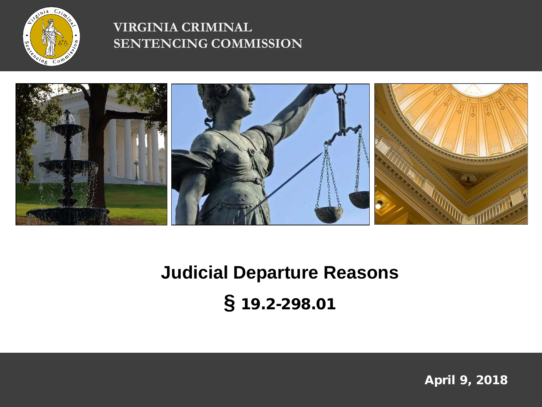

#### **VIRGINIA CRIMINAL SENTENCING COMMISSION**



# **Judicial Departure Reasons §** 19.2-298.01

April 9, 2018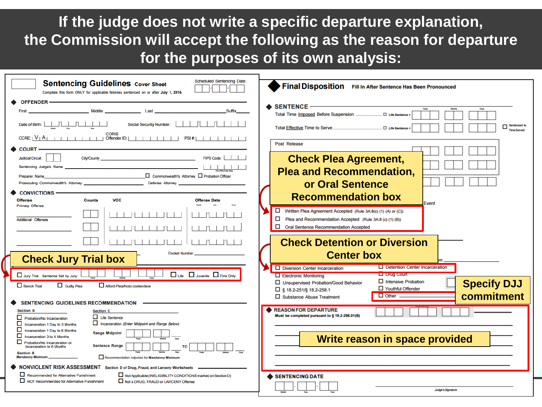**If the judge does not write a specific departure explanation, the Commission will accept the following as the reason for departure for the purposes of its own analysis:**

| <b>Scheduled Sentencing Date:</b><br><b>Sentencing Guidelines Cover Sheet</b><br>Complete this form ONLY for applicable felonies sentenced on or after July 1, 2016.                                                                                                                                                                                                                                                                                                     | Final Disposition Fill In After Sentence Has Been Pronounced                                                                                                                                                                                                                 |
|--------------------------------------------------------------------------------------------------------------------------------------------------------------------------------------------------------------------------------------------------------------------------------------------------------------------------------------------------------------------------------------------------------------------------------------------------------------------------|------------------------------------------------------------------------------------------------------------------------------------------------------------------------------------------------------------------------------------------------------------------------------|
| <b>OFFENDER-</b><br>Middle <b>Middle Last</b><br>Suffix<br>First<br>Date of Birth: $\begin{array}{ c c c c c c }\n\hline\n& & & & \end{array}$<br><b>Social Security Number:</b>                                                                                                                                                                                                                                                                                         | SENTENCE –<br>Days                                                                                                                                                                                                                                                           |
| <b>COURT</b>                                                                                                                                                                                                                                                                                                                                                                                                                                                             | Sentenced to<br>O Life Sentence<br><b>Time Served</b><br><b>Post Release</b>                                                                                                                                                                                                 |
| FIPS Code:<br><b>Judicial Circuit</b><br><b>City/County</b><br>Sentencing Judge's Name<br>$\Box$ Commonwealth's Attorney $\Box$ Probation Officer<br>Preparer Name<br>Prosecuting Commonwealth's Attorney <b>Example 2018</b> Defense Attorney                                                                                                                                                                                                                           | <b>Check Plea Agreement,</b><br><b>Plea and Recommendation,</b><br>or Oral Sentence                                                                                                                                                                                          |
| <b>CONVICTIONS -</b><br><b>VCC</b><br><b>Offense</b><br><b>Counts</b><br><b>Offense Date</b><br><b>Primary Offense</b><br>Additional Offenses                                                                                                                                                                                                                                                                                                                            | <b>Recommendation box</b><br>Event<br>Written Plea Agreement Accepted (Rule 3A:8(c) (1) (A) or (C))<br>Plea and Recommendation Accepted (Rule 3A:8 (c) (1) (B))<br>Oral Sentence Recommendation Accepted                                                                     |
| <b>Docket Number</b><br><b>Check Jury Trial box</b>                                                                                                                                                                                                                                                                                                                                                                                                                      | <b>Check Detention or Diversion</b><br><b>Center box</b><br>$\Box$ Detention Center Incarceration<br>Diversion Center Incarceration                                                                                                                                          |
| □ Life □ Juvenile □ Fine Only<br>Jury Trial Sentence Set by Jury:<br>Guilty Plea<br>$\Box$ Bench Trial<br>Alford Plea/Nolo contendere<br><b>SENTENCING GUIDELINES RECOMMENDATION</b>                                                                                                                                                                                                                                                                                     | <b>La Drug Court</b><br>$\Box$ Electronic Monitoring<br>$\Box$ Intensive Probation<br><b>Specify DJJ</b><br>□ Unsupervised Probation/Good Behavior<br>□ Youthful Offender<br>□ § 18.2-251/§ 18.2-258.1<br>commitment<br>$\square$ Other.<br>$\Box$ Substance Abuse Treatment |
| <b>Section B</b><br><b>Section C</b><br>$\Box$ Life Sentence<br>Probation/No Incarceration<br>Incarceration (Enter Midpoint and Range Below)<br>Incarceration 1 Day to 3 Months<br>Incarceration 1 Day to 6 Months<br><b>Range Midpoint</b><br>Incarceration 3 to 6 Months<br>Probation/No Incarceration or<br><b>Sentence Range</b><br>Incarceration to 6 Months<br>TO<br><b>Section B</b><br>Recommendation Adjusted for Mandatory Minimum<br><b>Mandatory Minimum</b> | <b>REASON FOR DEPARTURE</b><br>Must be completed pursuant to § 19.2-298.01(B)<br>Write reason in space provided                                                                                                                                                              |
| NONVIOLENT RISK ASSESSMENT Section D of Drug, Fraud, and Larceny Worksheets<br>Recommended for Alternative Punishment<br>Not Applicable (INELIGIBILITY CONDITIONS marked on Section D)<br>NOT Recommended for Alternative Punishment<br>Not a DRUG, FRAUD or LARCENY Offense                                                                                                                                                                                             | SENTENCING DATE<br>Judge's Signature                                                                                                                                                                                                                                         |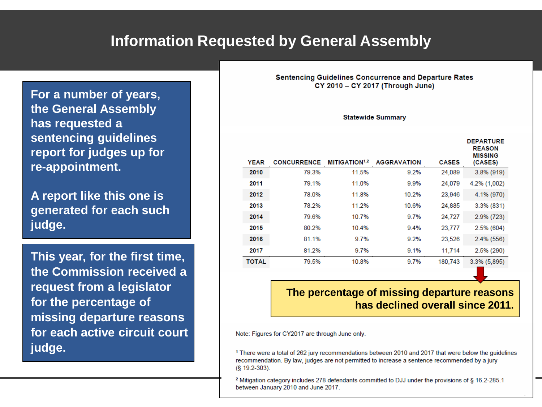### **Information Requested by General Assembly**

**For a number of years, the General Assembly has requested a sentencing guidelines report for judges up for re-appointment.**

**A report like this one is generated for each such judge.** 

**This year, for the first time, the Commission received a request from a legislator for the percentage of missing departure reasons for each active circuit court judge.**

**Sentencing Guidelines Concurrence and Departure Rates** CY 2010 - CY 2017 (Through June)

#### **Statewide Summary**

|              |                    |                           |                    |              | <b>DEPARTURE</b><br><b>REASON</b><br><b>MISSING</b> |
|--------------|--------------------|---------------------------|--------------------|--------------|-----------------------------------------------------|
| <b>YEAR</b>  | <b>CONCURRENCE</b> | MITIGATION <sup>1,2</sup> | <b>AGGRAVATION</b> | <b>CASES</b> | (CASES)                                             |
| 2010         | 79.3%              | 11.5%                     | 9.2%               | 24,089       | $3.8\%$ (919)                                       |
| 2011         | 79.1%              | 11.0%                     | 9.9%               | 24,079       | 4.2% (1,002)                                        |
| 2012         | 78.0%              | 11.8%                     | 10.2%              | 23,946       | 4.1% (970)                                          |
| 2013         | 78.2%              | 11.2%                     | 10.6%              | 24,885       | $3.3\%$ (831)                                       |
| 2014         | 79.6%              | 10.7%                     | 9.7%               | 24,727       | $2.9\%$ (723)                                       |
| 2015         | 80.2%              | 10.4%                     | 9.4%               | 23,777       | $2.5\%$ (604)                                       |
| 2016         | 81.1%              | 9.7%                      | 9.2%               | 23,526       | $2.4\%$ (556)                                       |
| 2017         | 81.2%              | 9.7%                      | 9.1%               | 11.714       | $2.5\%$ (290)                                       |
| <b>TOTAL</b> | 79.5%              | 10.8%                     | 9.7%               | 180,743      | $3.3\%$ (5,895)                                     |

#### **The percentage of missing departure reasons has declined overall since 2011.**

**3**

Note: Figures for CY2017 are through June only.

<sup>1</sup> There were a total of 262 jury recommendations between 2010 and 2017 that were below the guidelines recommendation. By law, judges are not permitted to increase a sentence recommended by a jury (§ 19.2-303).

<sup>2</sup> Mitigation category includes 278 defendants committed to DJJ under the provisions of § 16.2-285.1 between January 2010 and June 2017.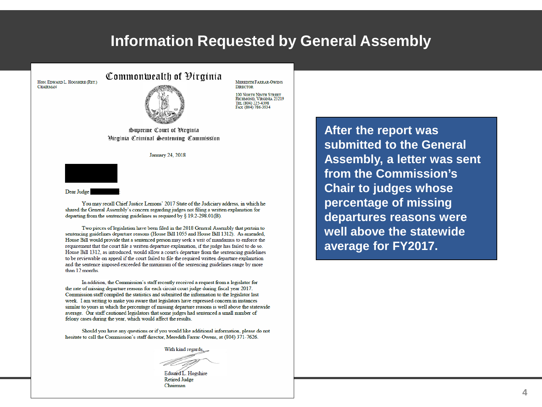#### **Information Requested by General Assembly**

HON, EDWARD L. HOGSHIRE (RET.) **CHAIRMAN** 



Commonwealth of Pirainia

**MEREDITH FARRAR-OWENS DIRECTOR** 100 NORTH NINTH STREET

RICHMOND, VIRGINIA 23219 TEL (804) 225-4398 FAX (804) 786-3934

Supreme Court of Pirainia Hirginia Criminal Sentencing Commission

January 24, 2018



Dear Judge

You may recall Chief Justice Lemons' 2017 State of the Judiciary address, in which he shared the General Assembly's concern regarding judges not filing a written explanation for departing from the sentencing guidelines as required by  $\S$  19.2-298.01(B).

Two pieces of legislation have been filed in the 2018 General Assembly that pertain to sentencing guidelines departure reasons (House Bill 1055 and House Bill 1312). As amended, House Bill would provide that a sentenced person may seek a writ of mandamus to enforce the requirement that the court file a written departure explanation, if the judge has failed to do so. House Bill 1312, as introduced, would allow a court's departure from the sentencing guidelines to be reviewable on appeal if the court failed to file the required written departure explanation and the sentence imposed exceeded the maximum of the sentencing guidelines range by more than 12 months.

In addition, the Commission's staff recently received a request from a legislator for the rate of missing departure reasons for each circuit court judge during fiscal year 2017. Commission staff compiled the statistics and submitted the information to the legislator last week. I am writing to make you aware that legislators have expressed concern in instances similar to yours in which the percentage of missing departure reasons is well above the statewide average. Our staff cautioned legislators that some judges had sentenced a small number of felony cases during the year, which would affect the results.

Should you have any questions or if you would like additional information, please do not hesitate to call the Commission's staff director, Meredith Farrar-Owens, at (804) 371-7626.

With kind regards.

Edward L. Hogshire **Retired Judge** Chairman

After the report was submitted to the General Assembly, a letter was sent from the Commission's **Chair to judges whose** percentage of missing departures reasons were well above the statewide average for FY2017.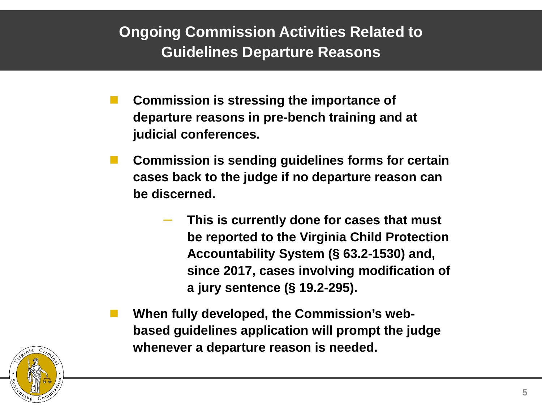# **Ongoing Commission Activities Related to Guidelines Departure Reasons**

- **Commission is stressing the importance of departure reasons in pre-bench training and at judicial conferences.**
- **Commission is sending guidelines forms for certain cases back to the judge if no departure reason can be discerned.**
	- ‒ **This is currently done for cases that must be reported to the Virginia Child Protection Accountability System (§ 63.2-1530) and, since 2017, cases involving modification of a jury sentence (§ 19.2-295).**
- **When fully developed, the Commission's webbased guidelines application will prompt the judge whenever a departure reason is needed.**

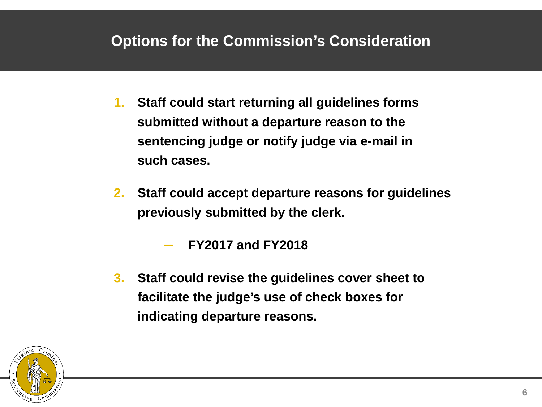# **Options for the Commission's Consideration**

- **1. Staff could start returning all guidelines forms submitted without a departure reason to the sentencing judge or notify judge via e-mail in such cases.**
- **2. Staff could accept departure reasons for guidelines previously submitted by the clerk.** 
	- ‒ **FY2017 and FY2018**
- **3. Staff could revise the guidelines cover sheet to facilitate the judge's use of check boxes for indicating departure reasons.**

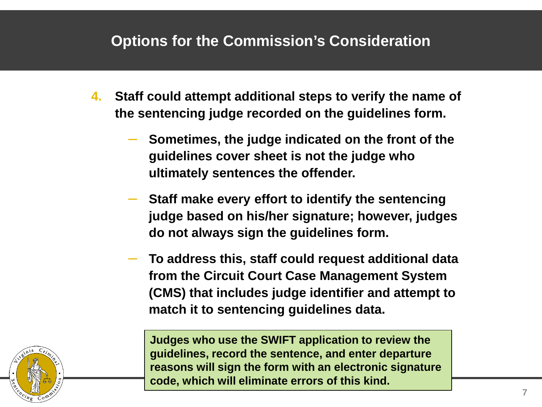## **Options for the Commission's Consideration**

- **4. Staff could attempt additional steps to verify the name of the sentencing judge recorded on the guidelines form.**
	- ‒ **Sometimes, the judge indicated on the front of the guidelines cover sheet is not the judge who ultimately sentences the offender.**
	- ‒ **Staff make every effort to identify the sentencing judge based on his/her signature; however, judges do not always sign the guidelines form.**
	- ‒ **To address this, staff could request additional data from the Circuit Court Case Management System (CMS) that includes judge identifier and attempt to match it to sentencing guidelines data.**

**Judges who use the SWIFT application to review the guidelines, record the sentence, and enter departure reasons will sign the form with an electronic signature code, which will eliminate errors of this kind.**

**7**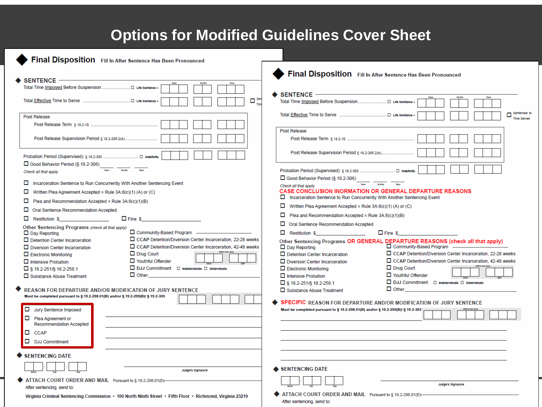# **Options for Modified Guidelines Cover Sheet**

| Final Disposition Fill In After Sentence Has Been Pronounced<br><b>SENTENCE -</b><br>٠<br>$\blacklozenge$ sentence $-\!\!-\!\!$<br>$\Box$ <sup>Set</sup><br>$\Box$ Life Sentence +<br>п<br><b>Post Release</b><br><b>Time Served</b><br>Post Release<br>Post Release Supervision Period § 19.2-295.2(A)<br>Post Release Supervision Period § 19.2-295.2(A)<br>□ Good Behavior Period (§ 19.2-306)<br>Months<br>Check all that apply<br>□ Good Behavior Period (§ 19.2-306)<br>Incarceration Sentence to Run Concurrently With Another Sentencing Event<br>Check all that apply<br><b>CASE CONCLUSION INORMATION OR GENERAL DEPARTURE REASONS</b><br>□<br>Written Plea Agreement Accepted = Rule 3A:8(c)(1) (A) or (C)<br>Incarceration Sentence to Run Concurrently With Another Sentencing Event<br>□<br>Plea and Recommendation Accepted = Rule 3A:8(c)(1)(B)<br>▫<br>Written Plea Agreement Accepted = Rule 3A:8(c)(1) (A) or (C)<br>□<br>Oral Sentence Recommendation Accepted<br>Plea and Recommendation Accepted = Rule 3A:8(c)(1)(B)<br><b>Restitution \$</b><br>Oral Sentence Recommendation Accepted<br>Other Sentencing Programs (check all that apply)<br>Community-Based Program ____________<br>$\Box$ Fine \$<br>$\Box$ Restitution S<br>$\Box$ Day Reporting<br>CCAP Detention/Diversion Center Incarceration, 22-28 weeks<br>$\Box$ Detention Center Incarceration<br>Other Sentencing Programs OR GENERAL DEPARTURE REASONS (check all that apply)<br>Community-Based Program ____________<br>CCAP Detention/Diversion Center Incarceration, 42-48 weeks<br>$\Box$ Day Reporting<br>$\Box$ Diversion Center Incarceration<br>□ CCAP Detention/Diversion Center Incarceration, 22-28 weeks<br>$\Box$ Drug Court<br>$\Box$ Detention Center Incarceration<br>$\Box$ Electronic Monitoring<br>□ CCAP Detention/Diversion Center Incarceration, 42-48 weeks<br>Vouthful Offender<br>$\Box$ Diversion Center Incarceration<br>$\Box$ Intensive Probation<br>$\Box$ Drug Court<br>□ DJJ Commitment □ Indeterminate □ Determinate<br>$\Box$ Electronic Monitoring<br>$\Box$ § 18.2-251/§ 18.2-258.1<br>$\Box$ Youthful Offender<br>$\Box$ Other<br>$\Box$ Intensive Probation<br>□ Substance Abuse Treatment<br>□ DJJ Commitment □ indeterminate □ Determinate<br>$\Box$ § 18.2-251/§ 18.2-258.1<br>$\Box$ Other<br><b>REASON FOR DEPARTURE AND/OR MODIFICATION OF JURY SENTENCE</b><br>$\Box$ Substance Abuse Treatment<br>Must be completed pursuant to § 19.2-298.01(B) and/or § 19.2-295(B)/ § 19.2-303<br>SPECIFIC REASON FOR DEPARTURE AND/OR MODIFICATION OF JURY SENTENCE<br>□<br>Jury Sentence Imposed<br>Must be completed pursuant to § 19.2-298.01(B) and/or § 19.2-295(B)/ § 19.2-303<br>$\Box$ Plea Agreement or<br>Recommendation Accepted<br>$\Box$ CCAP<br>$\Box$ DJJ Commitment<br><b>SENTENCING DATE</b><br>SENTENCING DATE<br>Judge's Signature<br>ATTACH COURT ORDER AND MAIL Pursuant to § 19.2-298.01(E)-<br>Judge's Signature<br>After sentencing, send to: | Final Disposition Fill In After Sentence Has Been Pronounced                                              |                                                           |  |  |
|-----------------------------------------------------------------------------------------------------------------------------------------------------------------------------------------------------------------------------------------------------------------------------------------------------------------------------------------------------------------------------------------------------------------------------------------------------------------------------------------------------------------------------------------------------------------------------------------------------------------------------------------------------------------------------------------------------------------------------------------------------------------------------------------------------------------------------------------------------------------------------------------------------------------------------------------------------------------------------------------------------------------------------------------------------------------------------------------------------------------------------------------------------------------------------------------------------------------------------------------------------------------------------------------------------------------------------------------------------------------------------------------------------------------------------------------------------------------------------------------------------------------------------------------------------------------------------------------------------------------------------------------------------------------------------------------------------------------------------------------------------------------------------------------------------------------------------------------------------------------------------------------------------------------------------------------------------------------------------------------------------------------------------------------------------------------------------------------------------------------------------------------------------------------------------------------------------------------------------------------------------------------------------------------------------------------------------------------------------------------------------------------------------------------------------------------------------------------------------------------------------------------------------------------------------------------------------------------------------------------------------------------------------------------------------------------------------------------------------------------------------------------------------------------------------------------------------------------------------------------------------------------------------------------------------------------------------------------------------------------------|-----------------------------------------------------------------------------------------------------------|-----------------------------------------------------------|--|--|
|                                                                                                                                                                                                                                                                                                                                                                                                                                                                                                                                                                                                                                                                                                                                                                                                                                                                                                                                                                                                                                                                                                                                                                                                                                                                                                                                                                                                                                                                                                                                                                                                                                                                                                                                                                                                                                                                                                                                                                                                                                                                                                                                                                                                                                                                                                                                                                                                                                                                                                                                                                                                                                                                                                                                                                                                                                                                                                                                                                                               |                                                                                                           |                                                           |  |  |
|                                                                                                                                                                                                                                                                                                                                                                                                                                                                                                                                                                                                                                                                                                                                                                                                                                                                                                                                                                                                                                                                                                                                                                                                                                                                                                                                                                                                                                                                                                                                                                                                                                                                                                                                                                                                                                                                                                                                                                                                                                                                                                                                                                                                                                                                                                                                                                                                                                                                                                                                                                                                                                                                                                                                                                                                                                                                                                                                                                                               |                                                                                                           |                                                           |  |  |
|                                                                                                                                                                                                                                                                                                                                                                                                                                                                                                                                                                                                                                                                                                                                                                                                                                                                                                                                                                                                                                                                                                                                                                                                                                                                                                                                                                                                                                                                                                                                                                                                                                                                                                                                                                                                                                                                                                                                                                                                                                                                                                                                                                                                                                                                                                                                                                                                                                                                                                                                                                                                                                                                                                                                                                                                                                                                                                                                                                                               |                                                                                                           |                                                           |  |  |
|                                                                                                                                                                                                                                                                                                                                                                                                                                                                                                                                                                                                                                                                                                                                                                                                                                                                                                                                                                                                                                                                                                                                                                                                                                                                                                                                                                                                                                                                                                                                                                                                                                                                                                                                                                                                                                                                                                                                                                                                                                                                                                                                                                                                                                                                                                                                                                                                                                                                                                                                                                                                                                                                                                                                                                                                                                                                                                                                                                                               |                                                                                                           |                                                           |  |  |
|                                                                                                                                                                                                                                                                                                                                                                                                                                                                                                                                                                                                                                                                                                                                                                                                                                                                                                                                                                                                                                                                                                                                                                                                                                                                                                                                                                                                                                                                                                                                                                                                                                                                                                                                                                                                                                                                                                                                                                                                                                                                                                                                                                                                                                                                                                                                                                                                                                                                                                                                                                                                                                                                                                                                                                                                                                                                                                                                                                                               |                                                                                                           | Sentenced to                                              |  |  |
|                                                                                                                                                                                                                                                                                                                                                                                                                                                                                                                                                                                                                                                                                                                                                                                                                                                                                                                                                                                                                                                                                                                                                                                                                                                                                                                                                                                                                                                                                                                                                                                                                                                                                                                                                                                                                                                                                                                                                                                                                                                                                                                                                                                                                                                                                                                                                                                                                                                                                                                                                                                                                                                                                                                                                                                                                                                                                                                                                                                               |                                                                                                           |                                                           |  |  |
|                                                                                                                                                                                                                                                                                                                                                                                                                                                                                                                                                                                                                                                                                                                                                                                                                                                                                                                                                                                                                                                                                                                                                                                                                                                                                                                                                                                                                                                                                                                                                                                                                                                                                                                                                                                                                                                                                                                                                                                                                                                                                                                                                                                                                                                                                                                                                                                                                                                                                                                                                                                                                                                                                                                                                                                                                                                                                                                                                                                               |                                                                                                           |                                                           |  |  |
|                                                                                                                                                                                                                                                                                                                                                                                                                                                                                                                                                                                                                                                                                                                                                                                                                                                                                                                                                                                                                                                                                                                                                                                                                                                                                                                                                                                                                                                                                                                                                                                                                                                                                                                                                                                                                                                                                                                                                                                                                                                                                                                                                                                                                                                                                                                                                                                                                                                                                                                                                                                                                                                                                                                                                                                                                                                                                                                                                                                               |                                                                                                           |                                                           |  |  |
|                                                                                                                                                                                                                                                                                                                                                                                                                                                                                                                                                                                                                                                                                                                                                                                                                                                                                                                                                                                                                                                                                                                                                                                                                                                                                                                                                                                                                                                                                                                                                                                                                                                                                                                                                                                                                                                                                                                                                                                                                                                                                                                                                                                                                                                                                                                                                                                                                                                                                                                                                                                                                                                                                                                                                                                                                                                                                                                                                                                               |                                                                                                           |                                                           |  |  |
|                                                                                                                                                                                                                                                                                                                                                                                                                                                                                                                                                                                                                                                                                                                                                                                                                                                                                                                                                                                                                                                                                                                                                                                                                                                                                                                                                                                                                                                                                                                                                                                                                                                                                                                                                                                                                                                                                                                                                                                                                                                                                                                                                                                                                                                                                                                                                                                                                                                                                                                                                                                                                                                                                                                                                                                                                                                                                                                                                                                               |                                                                                                           |                                                           |  |  |
|                                                                                                                                                                                                                                                                                                                                                                                                                                                                                                                                                                                                                                                                                                                                                                                                                                                                                                                                                                                                                                                                                                                                                                                                                                                                                                                                                                                                                                                                                                                                                                                                                                                                                                                                                                                                                                                                                                                                                                                                                                                                                                                                                                                                                                                                                                                                                                                                                                                                                                                                                                                                                                                                                                                                                                                                                                                                                                                                                                                               |                                                                                                           |                                                           |  |  |
|                                                                                                                                                                                                                                                                                                                                                                                                                                                                                                                                                                                                                                                                                                                                                                                                                                                                                                                                                                                                                                                                                                                                                                                                                                                                                                                                                                                                                                                                                                                                                                                                                                                                                                                                                                                                                                                                                                                                                                                                                                                                                                                                                                                                                                                                                                                                                                                                                                                                                                                                                                                                                                                                                                                                                                                                                                                                                                                                                                                               |                                                                                                           |                                                           |  |  |
|                                                                                                                                                                                                                                                                                                                                                                                                                                                                                                                                                                                                                                                                                                                                                                                                                                                                                                                                                                                                                                                                                                                                                                                                                                                                                                                                                                                                                                                                                                                                                                                                                                                                                                                                                                                                                                                                                                                                                                                                                                                                                                                                                                                                                                                                                                                                                                                                                                                                                                                                                                                                                                                                                                                                                                                                                                                                                                                                                                                               |                                                                                                           |                                                           |  |  |
|                                                                                                                                                                                                                                                                                                                                                                                                                                                                                                                                                                                                                                                                                                                                                                                                                                                                                                                                                                                                                                                                                                                                                                                                                                                                                                                                                                                                                                                                                                                                                                                                                                                                                                                                                                                                                                                                                                                                                                                                                                                                                                                                                                                                                                                                                                                                                                                                                                                                                                                                                                                                                                                                                                                                                                                                                                                                                                                                                                                               |                                                                                                           |                                                           |  |  |
|                                                                                                                                                                                                                                                                                                                                                                                                                                                                                                                                                                                                                                                                                                                                                                                                                                                                                                                                                                                                                                                                                                                                                                                                                                                                                                                                                                                                                                                                                                                                                                                                                                                                                                                                                                                                                                                                                                                                                                                                                                                                                                                                                                                                                                                                                                                                                                                                                                                                                                                                                                                                                                                                                                                                                                                                                                                                                                                                                                                               |                                                                                                           |                                                           |  |  |
|                                                                                                                                                                                                                                                                                                                                                                                                                                                                                                                                                                                                                                                                                                                                                                                                                                                                                                                                                                                                                                                                                                                                                                                                                                                                                                                                                                                                                                                                                                                                                                                                                                                                                                                                                                                                                                                                                                                                                                                                                                                                                                                                                                                                                                                                                                                                                                                                                                                                                                                                                                                                                                                                                                                                                                                                                                                                                                                                                                                               |                                                                                                           |                                                           |  |  |
|                                                                                                                                                                                                                                                                                                                                                                                                                                                                                                                                                                                                                                                                                                                                                                                                                                                                                                                                                                                                                                                                                                                                                                                                                                                                                                                                                                                                                                                                                                                                                                                                                                                                                                                                                                                                                                                                                                                                                                                                                                                                                                                                                                                                                                                                                                                                                                                                                                                                                                                                                                                                                                                                                                                                                                                                                                                                                                                                                                                               |                                                                                                           |                                                           |  |  |
|                                                                                                                                                                                                                                                                                                                                                                                                                                                                                                                                                                                                                                                                                                                                                                                                                                                                                                                                                                                                                                                                                                                                                                                                                                                                                                                                                                                                                                                                                                                                                                                                                                                                                                                                                                                                                                                                                                                                                                                                                                                                                                                                                                                                                                                                                                                                                                                                                                                                                                                                                                                                                                                                                                                                                                                                                                                                                                                                                                                               |                                                                                                           |                                                           |  |  |
|                                                                                                                                                                                                                                                                                                                                                                                                                                                                                                                                                                                                                                                                                                                                                                                                                                                                                                                                                                                                                                                                                                                                                                                                                                                                                                                                                                                                                                                                                                                                                                                                                                                                                                                                                                                                                                                                                                                                                                                                                                                                                                                                                                                                                                                                                                                                                                                                                                                                                                                                                                                                                                                                                                                                                                                                                                                                                                                                                                                               |                                                                                                           |                                                           |  |  |
|                                                                                                                                                                                                                                                                                                                                                                                                                                                                                                                                                                                                                                                                                                                                                                                                                                                                                                                                                                                                                                                                                                                                                                                                                                                                                                                                                                                                                                                                                                                                                                                                                                                                                                                                                                                                                                                                                                                                                                                                                                                                                                                                                                                                                                                                                                                                                                                                                                                                                                                                                                                                                                                                                                                                                                                                                                                                                                                                                                                               |                                                                                                           |                                                           |  |  |
|                                                                                                                                                                                                                                                                                                                                                                                                                                                                                                                                                                                                                                                                                                                                                                                                                                                                                                                                                                                                                                                                                                                                                                                                                                                                                                                                                                                                                                                                                                                                                                                                                                                                                                                                                                                                                                                                                                                                                                                                                                                                                                                                                                                                                                                                                                                                                                                                                                                                                                                                                                                                                                                                                                                                                                                                                                                                                                                                                                                               |                                                                                                           |                                                           |  |  |
|                                                                                                                                                                                                                                                                                                                                                                                                                                                                                                                                                                                                                                                                                                                                                                                                                                                                                                                                                                                                                                                                                                                                                                                                                                                                                                                                                                                                                                                                                                                                                                                                                                                                                                                                                                                                                                                                                                                                                                                                                                                                                                                                                                                                                                                                                                                                                                                                                                                                                                                                                                                                                                                                                                                                                                                                                                                                                                                                                                                               |                                                                                                           |                                                           |  |  |
|                                                                                                                                                                                                                                                                                                                                                                                                                                                                                                                                                                                                                                                                                                                                                                                                                                                                                                                                                                                                                                                                                                                                                                                                                                                                                                                                                                                                                                                                                                                                                                                                                                                                                                                                                                                                                                                                                                                                                                                                                                                                                                                                                                                                                                                                                                                                                                                                                                                                                                                                                                                                                                                                                                                                                                                                                                                                                                                                                                                               |                                                                                                           |                                                           |  |  |
|                                                                                                                                                                                                                                                                                                                                                                                                                                                                                                                                                                                                                                                                                                                                                                                                                                                                                                                                                                                                                                                                                                                                                                                                                                                                                                                                                                                                                                                                                                                                                                                                                                                                                                                                                                                                                                                                                                                                                                                                                                                                                                                                                                                                                                                                                                                                                                                                                                                                                                                                                                                                                                                                                                                                                                                                                                                                                                                                                                                               |                                                                                                           |                                                           |  |  |
|                                                                                                                                                                                                                                                                                                                                                                                                                                                                                                                                                                                                                                                                                                                                                                                                                                                                                                                                                                                                                                                                                                                                                                                                                                                                                                                                                                                                                                                                                                                                                                                                                                                                                                                                                                                                                                                                                                                                                                                                                                                                                                                                                                                                                                                                                                                                                                                                                                                                                                                                                                                                                                                                                                                                                                                                                                                                                                                                                                                               |                                                                                                           |                                                           |  |  |
|                                                                                                                                                                                                                                                                                                                                                                                                                                                                                                                                                                                                                                                                                                                                                                                                                                                                                                                                                                                                                                                                                                                                                                                                                                                                                                                                                                                                                                                                                                                                                                                                                                                                                                                                                                                                                                                                                                                                                                                                                                                                                                                                                                                                                                                                                                                                                                                                                                                                                                                                                                                                                                                                                                                                                                                                                                                                                                                                                                                               |                                                                                                           |                                                           |  |  |
|                                                                                                                                                                                                                                                                                                                                                                                                                                                                                                                                                                                                                                                                                                                                                                                                                                                                                                                                                                                                                                                                                                                                                                                                                                                                                                                                                                                                                                                                                                                                                                                                                                                                                                                                                                                                                                                                                                                                                                                                                                                                                                                                                                                                                                                                                                                                                                                                                                                                                                                                                                                                                                                                                                                                                                                                                                                                                                                                                                                               |                                                                                                           |                                                           |  |  |
|                                                                                                                                                                                                                                                                                                                                                                                                                                                                                                                                                                                                                                                                                                                                                                                                                                                                                                                                                                                                                                                                                                                                                                                                                                                                                                                                                                                                                                                                                                                                                                                                                                                                                                                                                                                                                                                                                                                                                                                                                                                                                                                                                                                                                                                                                                                                                                                                                                                                                                                                                                                                                                                                                                                                                                                                                                                                                                                                                                                               |                                                                                                           |                                                           |  |  |
|                                                                                                                                                                                                                                                                                                                                                                                                                                                                                                                                                                                                                                                                                                                                                                                                                                                                                                                                                                                                                                                                                                                                                                                                                                                                                                                                                                                                                                                                                                                                                                                                                                                                                                                                                                                                                                                                                                                                                                                                                                                                                                                                                                                                                                                                                                                                                                                                                                                                                                                                                                                                                                                                                                                                                                                                                                                                                                                                                                                               |                                                                                                           |                                                           |  |  |
|                                                                                                                                                                                                                                                                                                                                                                                                                                                                                                                                                                                                                                                                                                                                                                                                                                                                                                                                                                                                                                                                                                                                                                                                                                                                                                                                                                                                                                                                                                                                                                                                                                                                                                                                                                                                                                                                                                                                                                                                                                                                                                                                                                                                                                                                                                                                                                                                                                                                                                                                                                                                                                                                                                                                                                                                                                                                                                                                                                                               |                                                                                                           |                                                           |  |  |
|                                                                                                                                                                                                                                                                                                                                                                                                                                                                                                                                                                                                                                                                                                                                                                                                                                                                                                                                                                                                                                                                                                                                                                                                                                                                                                                                                                                                                                                                                                                                                                                                                                                                                                                                                                                                                                                                                                                                                                                                                                                                                                                                                                                                                                                                                                                                                                                                                                                                                                                                                                                                                                                                                                                                                                                                                                                                                                                                                                                               |                                                                                                           |                                                           |  |  |
|                                                                                                                                                                                                                                                                                                                                                                                                                                                                                                                                                                                                                                                                                                                                                                                                                                                                                                                                                                                                                                                                                                                                                                                                                                                                                                                                                                                                                                                                                                                                                                                                                                                                                                                                                                                                                                                                                                                                                                                                                                                                                                                                                                                                                                                                                                                                                                                                                                                                                                                                                                                                                                                                                                                                                                                                                                                                                                                                                                                               |                                                                                                           |                                                           |  |  |
|                                                                                                                                                                                                                                                                                                                                                                                                                                                                                                                                                                                                                                                                                                                                                                                                                                                                                                                                                                                                                                                                                                                                                                                                                                                                                                                                                                                                                                                                                                                                                                                                                                                                                                                                                                                                                                                                                                                                                                                                                                                                                                                                                                                                                                                                                                                                                                                                                                                                                                                                                                                                                                                                                                                                                                                                                                                                                                                                                                                               |                                                                                                           |                                                           |  |  |
|                                                                                                                                                                                                                                                                                                                                                                                                                                                                                                                                                                                                                                                                                                                                                                                                                                                                                                                                                                                                                                                                                                                                                                                                                                                                                                                                                                                                                                                                                                                                                                                                                                                                                                                                                                                                                                                                                                                                                                                                                                                                                                                                                                                                                                                                                                                                                                                                                                                                                                                                                                                                                                                                                                                                                                                                                                                                                                                                                                                               |                                                                                                           |                                                           |  |  |
|                                                                                                                                                                                                                                                                                                                                                                                                                                                                                                                                                                                                                                                                                                                                                                                                                                                                                                                                                                                                                                                                                                                                                                                                                                                                                                                                                                                                                                                                                                                                                                                                                                                                                                                                                                                                                                                                                                                                                                                                                                                                                                                                                                                                                                                                                                                                                                                                                                                                                                                                                                                                                                                                                                                                                                                                                                                                                                                                                                                               |                                                                                                           |                                                           |  |  |
|                                                                                                                                                                                                                                                                                                                                                                                                                                                                                                                                                                                                                                                                                                                                                                                                                                                                                                                                                                                                                                                                                                                                                                                                                                                                                                                                                                                                                                                                                                                                                                                                                                                                                                                                                                                                                                                                                                                                                                                                                                                                                                                                                                                                                                                                                                                                                                                                                                                                                                                                                                                                                                                                                                                                                                                                                                                                                                                                                                                               |                                                                                                           |                                                           |  |  |
|                                                                                                                                                                                                                                                                                                                                                                                                                                                                                                                                                                                                                                                                                                                                                                                                                                                                                                                                                                                                                                                                                                                                                                                                                                                                                                                                                                                                                                                                                                                                                                                                                                                                                                                                                                                                                                                                                                                                                                                                                                                                                                                                                                                                                                                                                                                                                                                                                                                                                                                                                                                                                                                                                                                                                                                                                                                                                                                                                                                               |                                                                                                           |                                                           |  |  |
|                                                                                                                                                                                                                                                                                                                                                                                                                                                                                                                                                                                                                                                                                                                                                                                                                                                                                                                                                                                                                                                                                                                                                                                                                                                                                                                                                                                                                                                                                                                                                                                                                                                                                                                                                                                                                                                                                                                                                                                                                                                                                                                                                                                                                                                                                                                                                                                                                                                                                                                                                                                                                                                                                                                                                                                                                                                                                                                                                                                               |                                                                                                           |                                                           |  |  |
| After sentencing, send to:                                                                                                                                                                                                                                                                                                                                                                                                                                                                                                                                                                                                                                                                                                                                                                                                                                                                                                                                                                                                                                                                                                                                                                                                                                                                                                                                                                                                                                                                                                                                                                                                                                                                                                                                                                                                                                                                                                                                                                                                                                                                                                                                                                                                                                                                                                                                                                                                                                                                                                                                                                                                                                                                                                                                                                                                                                                                                                                                                                    | Virginia Criminal Sentencing Commission • 100 North Ninth Street • Fifth Floor • Richmond, Virginia 23219 | ATTACH COURT ORDER AND MAIL Pursuant to § 19.2-298.01(E)- |  |  |